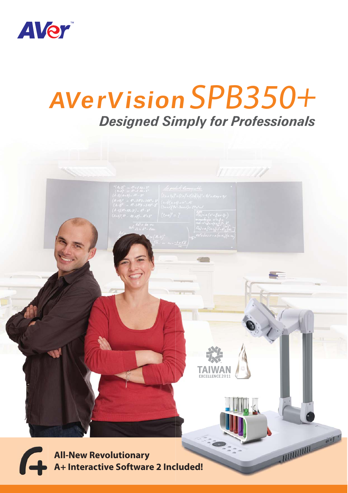

# *Designed Simply for Professionals* AVerVision SPB350+

**All-New Revolutionary A+ Interactive Software 2 Included!** RATHAMARTING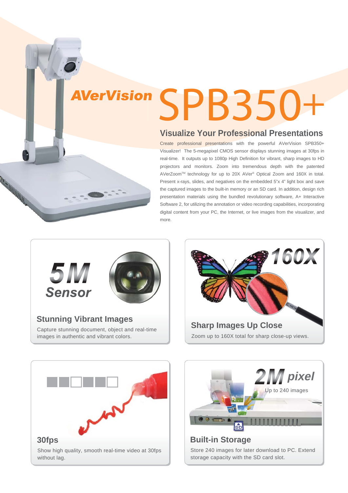# SPB350+ AVerVision

## **Visualize Your Professional Presentations**

Create professional presentations with the powerful AVerVision SPB350+ Visualizer! The 5-megapixel CMOS sensor displays stunning images at 30fps in real-time. It outputs up to 1080p High Definition for vibrant, sharp images to HD projectors and monitors. Zoom into tremendous depth with the patented AVerZoomTM technology for up to 20X AVer® Optical Zoom and 160X in total. Present x-rays, slides, and negatives on the embedded 5"x 4" light box and save the captured images to the built-in memory or an SD card. In addition, design rich presentation materials using the bundled revolutionary software, A+ Interactive Software 2, for utilizing the annotation or video recording capabilities, incorporating digital content from your PC, the Internet, or live images from the visualizer, and more.





#### **Stunning Vibrant Images**

Capture stunning document, object and real-time images in authentic and vibrant colors.







Store 240 images for later download to PC. Extend storage capacity with the SD card slot.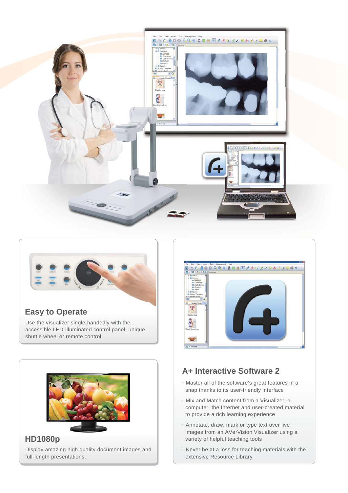



### **Easy to Operate**

Use the visualizer single-handedly with the accessible LED-illuminated control panel, unique shuttle wheel or remote control.



### Display amazing high quality document images and full-length presentations.



### **A+ Interactive Software 2**

- .Master all of the software's great features in a snap thanks to its user-friendly interface
- .Mix and Match content from a Visualizer, a computer, the Internet and user-created material to provide a rich learning experience
- .Annotate, draw, mark or type text over live images from an AVerVision Visualizer using a variety of helpful teaching tools
- .Never be at a loss for teaching materials with the extensive Resource Library